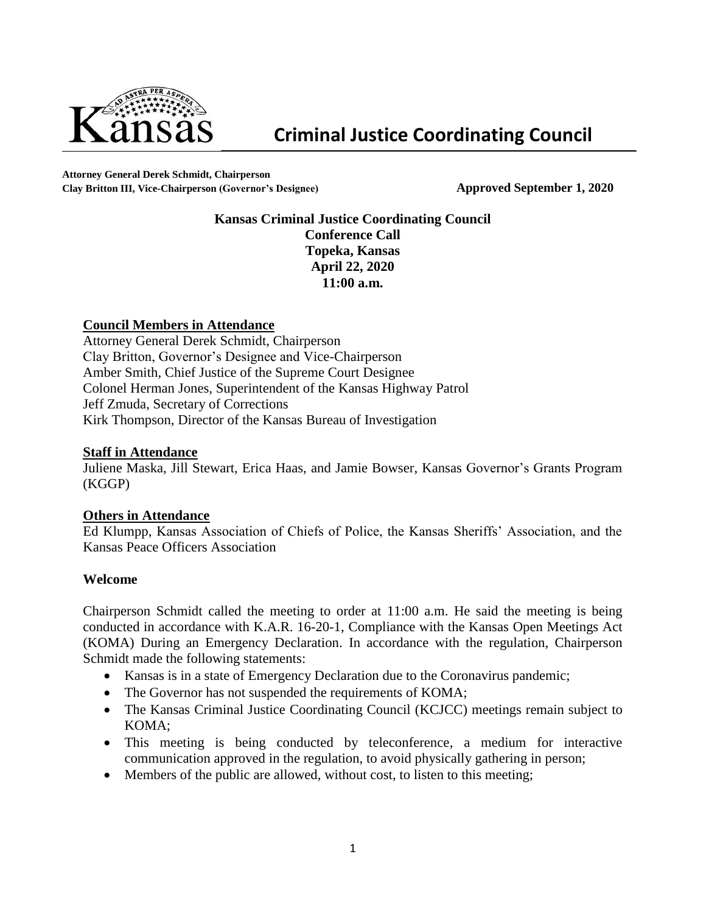

**Attorney General Derek Schmidt, Chairperson Clay Britton III, Vice-Chairperson (Governor's Designee) Approved September 1, 2020**

# **Kansas Criminal Justice Coordinating Council Conference Call Topeka, Kansas April 22, 2020 11:00 a.m.**

### **Council Members in Attendance**

Attorney General Derek Schmidt, Chairperson Clay Britton, Governor's Designee and Vice-Chairperson Amber Smith, Chief Justice of the Supreme Court Designee Colonel Herman Jones, Superintendent of the Kansas Highway Patrol Jeff Zmuda, Secretary of Corrections Kirk Thompson, Director of the Kansas Bureau of Investigation

### **Staff in Attendance**

Juliene Maska, Jill Stewart, Erica Haas, and Jamie Bowser, Kansas Governor's Grants Program (KGGP)

### **Others in Attendance**

Ed Klumpp, Kansas Association of Chiefs of Police, the Kansas Sheriffs' Association, and the Kansas Peace Officers Association

### **Welcome**

Chairperson Schmidt called the meeting to order at 11:00 a.m. He said the meeting is being conducted in accordance with K.A.R. 16-20-1, Compliance with the Kansas Open Meetings Act (KOMA) During an Emergency Declaration. In accordance with the regulation, Chairperson Schmidt made the following statements:

- Kansas is in a state of Emergency Declaration due to the Coronavirus pandemic;
- The Governor has not suspended the requirements of KOMA;
- The Kansas Criminal Justice Coordinating Council (KCJCC) meetings remain subject to KOMA;
- This meeting is being conducted by teleconference, a medium for interactive communication approved in the regulation, to avoid physically gathering in person;
- Members of the public are allowed, without cost, to listen to this meeting;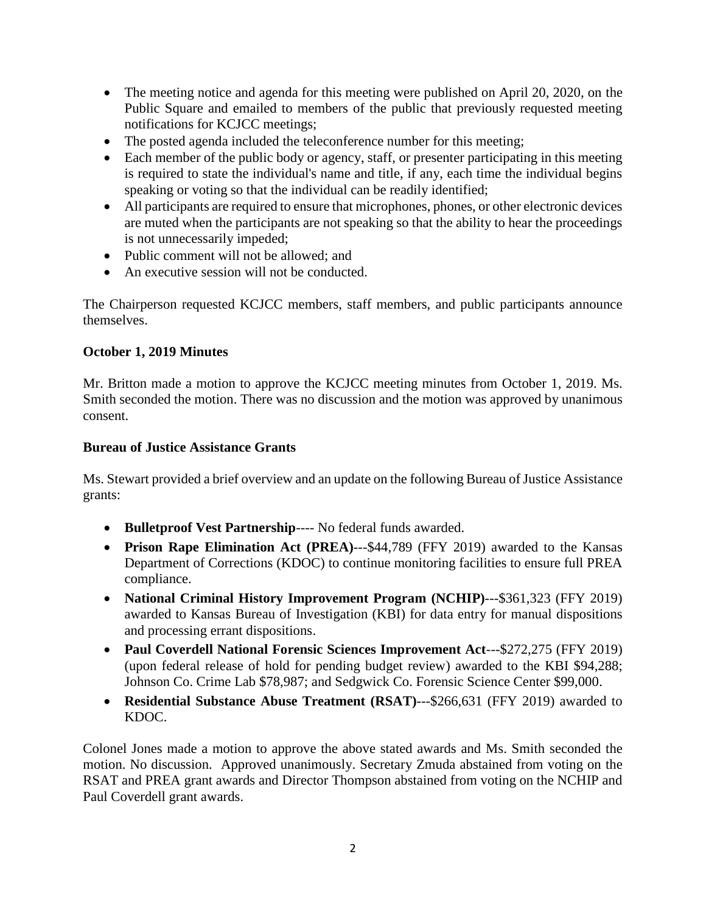- The meeting notice and agenda for this meeting were published on April 20, 2020, on the Public Square and emailed to members of the public that previously requested meeting notifications for KCJCC meetings;
- The posted agenda included the teleconference number for this meeting;
- Each member of the public body or agency, staff, or presenter participating in this meeting is required to state the individual's name and title, if any, each time the individual begins speaking or voting so that the individual can be readily identified;
- All participants are required to ensure that microphones, phones, or other electronic devices are muted when the participants are not speaking so that the ability to hear the proceedings is not unnecessarily impeded;
- Public comment will not be allowed; and
- An executive session will not be conducted.

The Chairperson requested KCJCC members, staff members, and public participants announce themselves.

# **October 1, 2019 Minutes**

Mr. Britton made a motion to approve the KCJCC meeting minutes from October 1, 2019. Ms. Smith seconded the motion. There was no discussion and the motion was approved by unanimous consent.

### **Bureau of Justice Assistance Grants**

Ms. Stewart provided a brief overview and an update on the following Bureau of Justice Assistance grants:

- **Bulletproof Vest Partnership**---- No federal funds awarded.
- **Prison Rape Elimination Act (PREA)**---\$44,789 (FFY 2019) awarded to the Kansas Department of Corrections (KDOC) to continue monitoring facilities to ensure full PREA compliance.
- **National Criminal History Improvement Program (NCHIP)**---\$361,323 (FFY 2019) awarded to Kansas Bureau of Investigation (KBI) for data entry for manual dispositions and processing errant dispositions.
- **Paul Coverdell National Forensic Sciences Improvement Act**---\$272,275 (FFY 2019) (upon federal release of hold for pending budget review) awarded to the KBI \$94,288; Johnson Co. Crime Lab \$78,987; and Sedgwick Co. Forensic Science Center \$99,000.
- **Residential Substance Abuse Treatment (RSAT)**---\$266,631 (FFY 2019) awarded to KDOC.

Colonel Jones made a motion to approve the above stated awards and Ms. Smith seconded the motion. No discussion. Approved unanimously. Secretary Zmuda abstained from voting on the RSAT and PREA grant awards and Director Thompson abstained from voting on the NCHIP and Paul Coverdell grant awards.